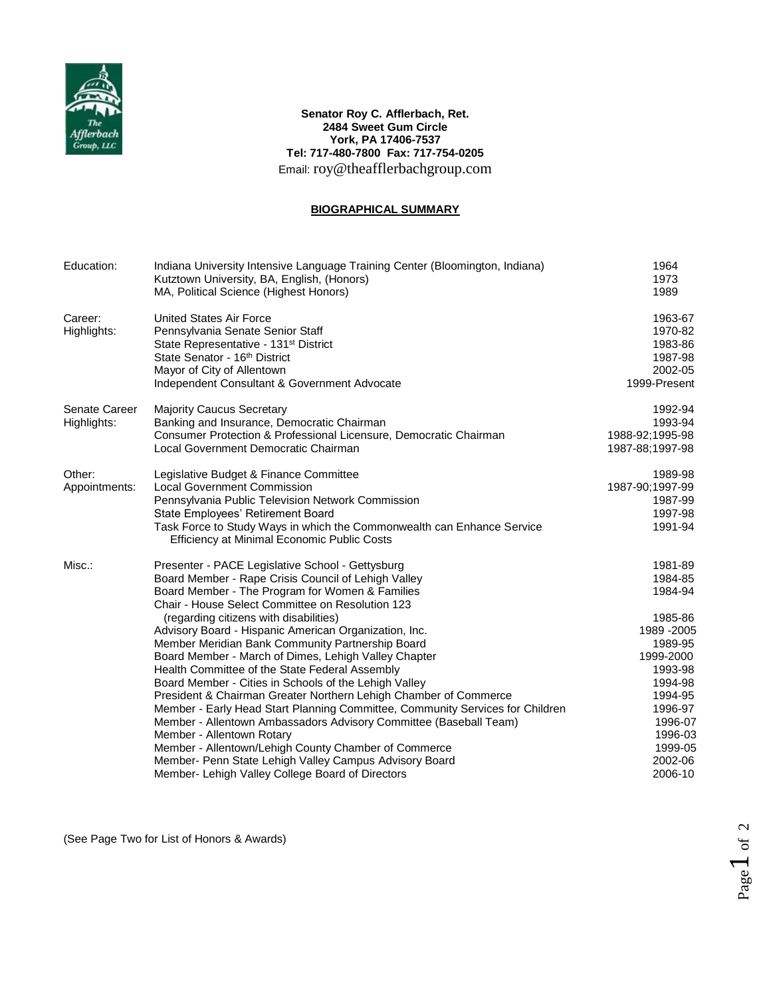

## **Senator Roy C. Afflerbach, Ret. 2484 Sweet Gum Circle York, PA 17406-7537 Tel: 717-480-7800 Fax: 717-754-0205** Email: roy@theafflerbachgroup.com

## **BIOGRAPHICAL SUMMARY**

| Education:                   | Indiana University Intensive Language Training Center (Bloomington, Indiana)<br>Kutztown University, BA, English, (Honors)<br>MA, Political Science (Highest Honors)                                                                                                                                                                                                                                                                                                                                                                                                                                                                                                                                                                                                                                                                                                                                                                                                  | 1964<br>1973<br>1989                                                                                                                                                               |
|------------------------------|-----------------------------------------------------------------------------------------------------------------------------------------------------------------------------------------------------------------------------------------------------------------------------------------------------------------------------------------------------------------------------------------------------------------------------------------------------------------------------------------------------------------------------------------------------------------------------------------------------------------------------------------------------------------------------------------------------------------------------------------------------------------------------------------------------------------------------------------------------------------------------------------------------------------------------------------------------------------------|------------------------------------------------------------------------------------------------------------------------------------------------------------------------------------|
| Career:<br>Highlights:       | <b>United States Air Force</b><br>Pennsylvania Senate Senior Staff<br>State Representative - 131 <sup>st</sup> District<br>State Senator - 16th District<br>Mayor of City of Allentown<br>Independent Consultant & Government Advocate                                                                                                                                                                                                                                                                                                                                                                                                                                                                                                                                                                                                                                                                                                                                | 1963-67<br>1970-82<br>1983-86<br>1987-98<br>2002-05<br>1999-Present                                                                                                                |
| Senate Career<br>Highlights: | <b>Majority Caucus Secretary</b><br>Banking and Insurance, Democratic Chairman<br>Consumer Protection & Professional Licensure, Democratic Chairman<br>Local Government Democratic Chairman                                                                                                                                                                                                                                                                                                                                                                                                                                                                                                                                                                                                                                                                                                                                                                           | 1992-94<br>1993-94<br>1988-92;1995-98<br>1987-88:1997-98                                                                                                                           |
| Other:<br>Appointments:      | Legislative Budget & Finance Committee<br><b>Local Government Commission</b><br>Pennsylvania Public Television Network Commission<br>State Employees' Retirement Board<br>Task Force to Study Ways in which the Commonwealth can Enhance Service<br>Efficiency at Minimal Economic Public Costs                                                                                                                                                                                                                                                                                                                                                                                                                                                                                                                                                                                                                                                                       | 1989-98<br>1987-90;1997-99<br>1987-99<br>1997-98<br>1991-94                                                                                                                        |
| Misc.:                       | Presenter - PACE Legislative School - Gettysburg<br>Board Member - Rape Crisis Council of Lehigh Valley<br>Board Member - The Program for Women & Families<br>Chair - House Select Committee on Resolution 123<br>(regarding citizens with disabilities)<br>Advisory Board - Hispanic American Organization, Inc.<br>Member Meridian Bank Community Partnership Board<br>Board Member - March of Dimes, Lehigh Valley Chapter<br>Health Committee of the State Federal Assembly<br>Board Member - Cities in Schools of the Lehigh Valley<br>President & Chairman Greater Northern Lehigh Chamber of Commerce<br>Member - Early Head Start Planning Committee, Community Services for Children<br>Member - Allentown Ambassadors Advisory Committee (Baseball Team)<br>Member - Allentown Rotary<br>Member - Allentown/Lehigh County Chamber of Commerce<br>Member- Penn State Lehigh Valley Campus Advisory Board<br>Member- Lehigh Valley College Board of Directors | 1981-89<br>1984-85<br>1984-94<br>1985-86<br>1989 - 2005<br>1989-95<br>1999-2000<br>1993-98<br>1994-98<br>1994-95<br>1996-97<br>1996-07<br>1996-03<br>1999-05<br>2002-06<br>2006-10 |

(See Page Two for List of Honors & Awards)

Page  $1$  of 2